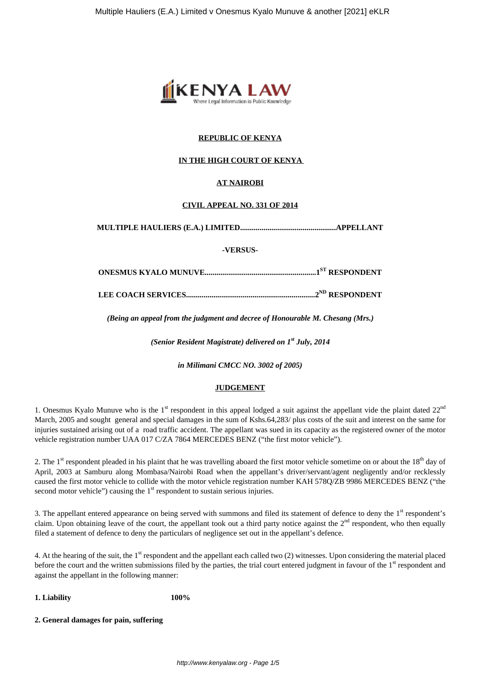

### **REPUBLIC OF KENYA**

### **IN THE HIGH COURT OF KENYA**

### **AT NAIROBI**

#### **CIVIL APPEAL NO. 331 OF 2014**

**MULTIPLE HAULIERS (E.A.) LIMITED.................................................APPELLANT**

**-VERSUS-**

**ONESMUS KYALO MUNUVE.........................................................1ST RESPONDENT**

**LEE COACH SERVICES..................................................................2ND RESPONDENT**

*(Being an appeal from the judgment and decree of Honourable M. Chesang (Mrs.)*

*(Senior Resident Magistrate) delivered on 1st July, 2014*

*in Milimani CMCC NO. 3002 of 2005)*

#### **JUDGEMENT**

1. Onesmus Kyalo Munuve who is the  $1<sup>st</sup>$  respondent in this appeal lodged a suit against the appellant vide the plaint dated  $22<sup>nd</sup>$ March, 2005 and sought general and special damages in the sum of Kshs.64,283/ plus costs of the suit and interest on the same for injuries sustained arising out of a road traffic accident. The appellant was sued in its capacity as the registered owner of the motor vehicle registration number UAA 017 C/ZA 7864 MERCEDES BENZ ("the first motor vehicle").

2. The  $1<sup>st</sup>$  respondent pleaded in his plaint that he was travelling aboard the first motor vehicle sometime on or about the  $18<sup>th</sup>$  day of April, 2003 at Samburu along Mombasa/Nairobi Road when the appellant's driver/servant/agent negligently and/or recklessly caused the first motor vehicle to collide with the motor vehicle registration number KAH 578Q/ZB 9986 MERCEDES BENZ ("the second motor vehicle") causing the  $1<sup>st</sup>$  respondent to sustain serious injuries.

3. The appellant entered appearance on being served with summons and filed its statement of defence to deny the  $1<sup>st</sup>$  respondent's claim. Upon obtaining leave of the court, the appellant took out a third party notice against the  $2<sup>nd</sup>$  respondent, who then equally filed a statement of defence to deny the particulars of negligence set out in the appellant's defence.

4. At the hearing of the suit, the 1<sup>st</sup> respondent and the appellant each called two (2) witnesses. Upon considering the material placed before the court and the written submissions filed by the parties, the trial court entered judgment in favour of the 1<sup>st</sup> respondent and against the appellant in the following manner:

**1. Liability 100%**

**2. General damages for pain, suffering**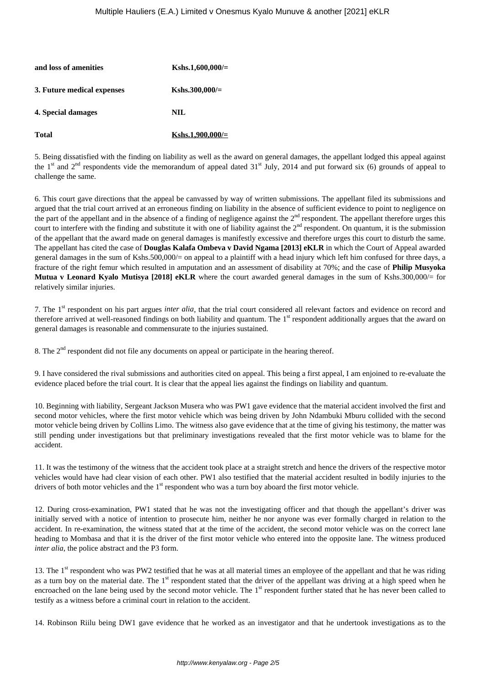| and loss of amenities      | Kshs.1,600,000/= |
|----------------------------|------------------|
| 3. Future medical expenses | $Kshs.300,000/=$ |
| 4. Special damages         | <b>NIL</b>       |
| <b>Total</b>               | Kshs.1,900,000/= |

5. Being dissatisfied with the finding on liability as well as the award on general damages, the appellant lodged this appeal against the 1<sup>st</sup> and 2<sup>nd</sup> respondents vide the memorandum of appeal dated  $31<sup>st</sup>$  July, 2014 and put forward six (6) grounds of appeal to challenge the same.

6. This court gave directions that the appeal be canvassed by way of written submissions. The appellant filed its submissions and argued that the trial court arrived at an erroneous finding on liability in the absence of sufficient evidence to point to negligence on the part of the appellant and in the absence of a finding of negligence against the 2<sup>nd</sup> respondent. The appellant therefore urges this court to interfere with the finding and substitute it with one of liability against the  $2<sup>nd</sup>$  respondent. On quantum, it is the submission of the appellant that the award made on general damages is manifestly excessive and therefore urges this court to disturb the same. The appellant has cited the case of **Douglas Kalafa Ombeva v David Ngama [2013] eKLR** in which the Court of Appeal awarded general damages in the sum of Kshs.500,000/= on appeal to a plaintiff with a head injury which left him confused for three days, a fracture of the right femur which resulted in amputation and an assessment of disability at 70%; and the case of **Philip Musyoka Mutua v Leonard Kyalo Mutisya [2018] eKLR** where the court awarded general damages in the sum of Kshs.300,000/= for relatively similar injuries.

7. The 1st respondent on his part argues *inter alia*, that the trial court considered all relevant factors and evidence on record and therefore arrived at well-reasoned findings on both liability and quantum. The 1<sup>st</sup> respondent additionally argues that the award on general damages is reasonable and commensurate to the injuries sustained.

8. The  $2<sup>nd</sup>$  respondent did not file any documents on appeal or participate in the hearing thereof.

9. I have considered the rival submissions and authorities cited on appeal. This being a first appeal, I am enjoined to re-evaluate the evidence placed before the trial court. It is clear that the appeal lies against the findings on liability and quantum.

10. Beginning with liability, Sergeant Jackson Musera who was PW1 gave evidence that the material accident involved the first and second motor vehicles, where the first motor vehicle which was being driven by John Ndambuki Mburu collided with the second motor vehicle being driven by Collins Limo. The witness also gave evidence that at the time of giving his testimony, the matter was still pending under investigations but that preliminary investigations revealed that the first motor vehicle was to blame for the accident.

11. It was the testimony of the witness that the accident took place at a straight stretch and hence the drivers of the respective motor vehicles would have had clear vision of each other. PW1 also testified that the material accident resulted in bodily injuries to the drivers of both motor vehicles and the 1<sup>st</sup> respondent who was a turn boy aboard the first motor vehicle.

12. During cross-examination, PW1 stated that he was not the investigating officer and that though the appellant's driver was initially served with a notice of intention to prosecute him, neither he nor anyone was ever formally charged in relation to the accident. In re-examination, the witness stated that at the time of the accident, the second motor vehicle was on the correct lane heading to Mombasa and that it is the driver of the first motor vehicle who entered into the opposite lane. The witness produced *inter alia*, the police abstract and the P3 form.

13. The  $1<sup>st</sup>$  respondent who was PW2 testified that he was at all material times an employee of the appellant and that he was riding as a turn boy on the material date. The  $1<sup>st</sup>$  respondent stated that the driver of the appellant was driving at a high speed when he encroached on the lane being used by the second motor vehicle. The 1<sup>st</sup> respondent further stated that he has never been called to testify as a witness before a criminal court in relation to the accident.

14. Robinson Riilu being DW1 gave evidence that he worked as an investigator and that he undertook investigations as to the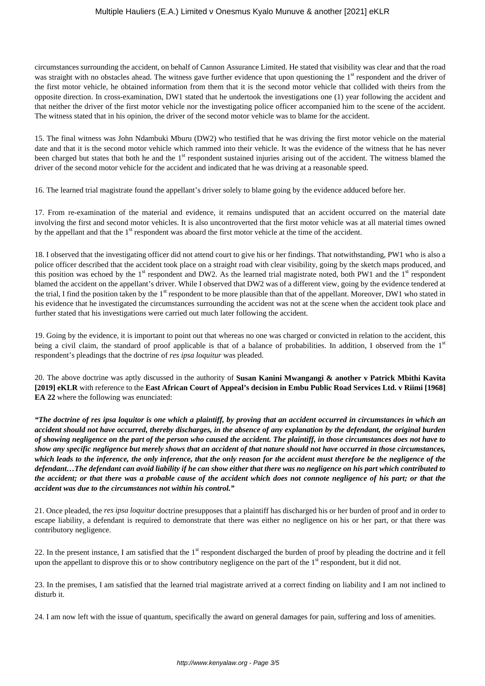circumstances surrounding the accident, on behalf of Cannon Assurance Limited. He stated that visibility was clear and that the road was straight with no obstacles ahead. The witness gave further evidence that upon questioning the 1<sup>st</sup> respondent and the driver of the first motor vehicle, he obtained information from them that it is the second motor vehicle that collided with theirs from the opposite direction. In cross-examination, DW1 stated that he undertook the investigations one (1) year following the accident and that neither the driver of the first motor vehicle nor the investigating police officer accompanied him to the scene of the accident. The witness stated that in his opinion, the driver of the second motor vehicle was to blame for the accident.

15. The final witness was John Ndambuki Mburu (DW2) who testified that he was driving the first motor vehicle on the material date and that it is the second motor vehicle which rammed into their vehicle. It was the evidence of the witness that he has never been charged but states that both he and the 1<sup>st</sup> respondent sustained injuries arising out of the accident. The witness blamed the driver of the second motor vehicle for the accident and indicated that he was driving at a reasonable speed.

16. The learned trial magistrate found the appellant's driver solely to blame going by the evidence adduced before her.

17. From re-examination of the material and evidence, it remains undisputed that an accident occurred on the material date involving the first and second motor vehicles. It is also uncontroverted that the first motor vehicle was at all material times owned by the appellant and that the 1<sup>st</sup> respondent was aboard the first motor vehicle at the time of the accident.

18. I observed that the investigating officer did not attend court to give his or her findings. That notwithstanding, PW1 who is also a police officer described that the accident took place on a straight road with clear visibility, going by the sketch maps produced, and this position was echoed by the  $1<sup>st</sup>$  respondent and DW2. As the learned trial magistrate noted, both PW1 and the  $1<sup>st</sup>$  respondent blamed the accident on the appellant's driver. While I observed that DW2 was of a different view, going by the evidence tendered at the trial, I find the position taken by the 1<sup>st</sup> respondent to be more plausible than that of the appellant. Moreover, DW1 who stated in his evidence that he investigated the circumstances surrounding the accident was not at the scene when the accident took place and further stated that his investigations were carried out much later following the accident.

19. Going by the evidence, it is important to point out that whereas no one was charged or convicted in relation to the accident, this being a civil claim, the standard of proof applicable is that of a balance of probabilities. In addition, I observed from the 1st respondent's pleadings that the doctrine of *res ipsa loquitur* was pleaded.

20. The above doctrine was aptly discussed in the authority of **Susan Kanini Mwangangi & another v Patrick Mbithi Kavita [2019] eKLR** with reference to the **East African Court of Appeal's decision in Embu Public Road Services Ltd. v Riimi [1968] EA 22** where the following was enunciated:

*"The doctrine of res ipsa loquitor is one which a plaintiff, by proving that an accident occurred in circumstances in which an accident should not have occurred, thereby discharges, in the absence of any explanation by the defendant, the original burden of showing negligence on the part of the person who caused the accident. The plaintiff, in those circumstances does not have to show any specific negligence but merely shows that an accident of that nature should not have occurred in those circumstances, which leads to the inference, the only inference, that the only reason for the accident must therefore be the negligence of the defendant…The defendant can avoid liability if he can show either that there was no negligence on his part which contributed to the accident; or that there was a probable cause of the accident which does not connote negligence of his part; or that the accident was due to the circumstances not within his control."* 

21. Once pleaded, the *res ipsa loquitur* doctrine presupposes that a plaintiff has discharged his or her burden of proof and in order to escape liability, a defendant is required to demonstrate that there was either no negligence on his or her part, or that there was contributory negligence.

22. In the present instance, I am satisfied that the  $1<sup>st</sup>$  respondent discharged the burden of proof by pleading the doctrine and it fell upon the appellant to disprove this or to show contributory negligence on the part of the  $1<sup>st</sup>$  respondent, but it did not.

23. In the premises, I am satisfied that the learned trial magistrate arrived at a correct finding on liability and I am not inclined to disturb it.

24. I am now left with the issue of quantum, specifically the award on general damages for pain, suffering and loss of amenities.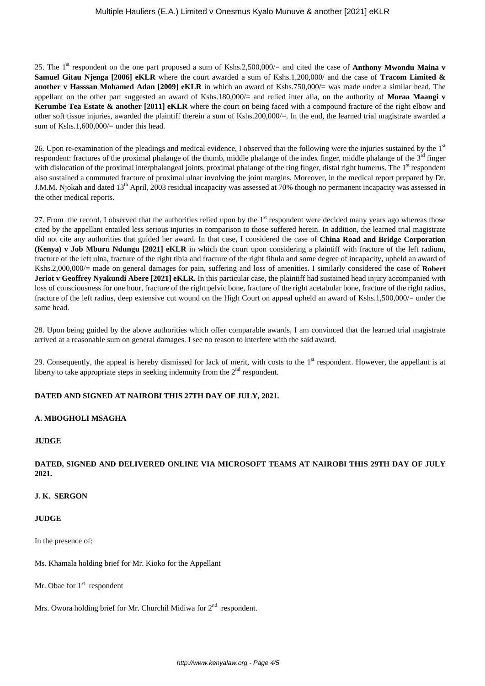25. The 1st respondent on the one part proposed a sum of Kshs.2,500,000/= and cited the case of **Anthony Mwondu Maina v Samuel Gitau Njenga [2006] eKLR** where the court awarded a sum of Kshs.1,200,000/ and the case of **Tracom Limited & another v Hasssan Mohamed Adan [2009] eKLR** in which an award of Kshs.750,000/= was made under a similar head. The appellant on the other part suggested an award of Kshs.180,000/= and relied inter alia, on the authority of **Moraa Maangi v Kerumbe Tea Estate & another [2011] eKLR** where the court on being faced with a compound fracture of the right elbow and other soft tissue injuries, awarded the plaintiff therein a sum of Kshs.200,000/=. In the end, the learned trial magistrate awarded a sum of Kshs.1,600,000/ $=$  under this head.

26. Upon re-examination of the pleadings and medical evidence, I observed that the following were the injuries sustained by the  $1<sup>st</sup>$ respondent: fractures of the proximal phalange of the thumb, middle phalange of the index finger, middle phalange of the  $3<sup>rd</sup>$  finger with dislocation of the proximal interphalangeal joints, proximal phalange of the ring finger, distal right humerus. The 1<sup>st</sup> respondent also sustained a commuted fracture of proximal ulnar involving the joint margins. Moreover, in the medical report prepared by Dr. J.M.M. Njokah and dated 13<sup>th</sup> April, 2003 residual incapacity was assessed at 70% though no permanent incapacity was assessed in the other medical reports.

27. From the record, I observed that the authorities relied upon by the 1<sup>st</sup> respondent were decided many years ago whereas those cited by the appellant entailed less serious injuries in comparison to those suffered herein. In addition, the learned trial magistrate did not cite any authorities that guided her award. In that case, I considered the case of **China Road and Bridge Corporation (Kenya) v Job Mburu Ndungu [2021] eKLR** in which the court upon considering a plaintiff with fracture of the left radium, fracture of the left ulna, fracture of the right tibia and fracture of the right fibula and some degree of incapacity, upheld an award of Kshs.2,000,000/= made on general damages for pain, suffering and loss of amenities. I similarly considered the case of **Robert Jeriot v Geoffrey Nyakundi Abere [2021] eKLR.** In this particular case, the plaintiff had sustained head injury accompanied with loss of consciousness for one hour, fracture of the right pelvic bone, fracture of the right acetabular bone, fracture of the right radius, fracture of the left radius, deep extensive cut wound on the High Court on appeal upheld an award of Kshs.1,500,000/= under the same head.

28. Upon being guided by the above authorities which offer comparable awards, I am convinced that the learned trial magistrate arrived at a reasonable sum on general damages. I see no reason to interfere with the said award.

29. Consequently, the appeal is hereby dismissed for lack of merit, with costs to the  $1<sup>st</sup>$  respondent. However, the appellant is at liberty to take appropriate steps in seeking indemnity from the  $2<sup>nd</sup>$  respondent.

# **DATED AND SIGNED AT NAIROBI THIS 27TH DAY OF JULY, 2021.**

### **A. MBOGHOLI MSAGHA**

### **JUDGE**

# **DATED, SIGNED AND DELIVERED ONLINE VIA MICROSOFT TEAMS AT NAIROBI THIS 29TH DAY OF JULY 2021.**

### **J. K. SERGON**

### **JUDGE**

In the presence of:

Ms. Khamala holding brief for Mr. Kioko for the Appellant

Mr. Obae for  $1<sup>st</sup>$  respondent

Mrs. Owora holding brief for Mr. Churchil Midiwa for  $2<sup>nd</sup>$  respondent.